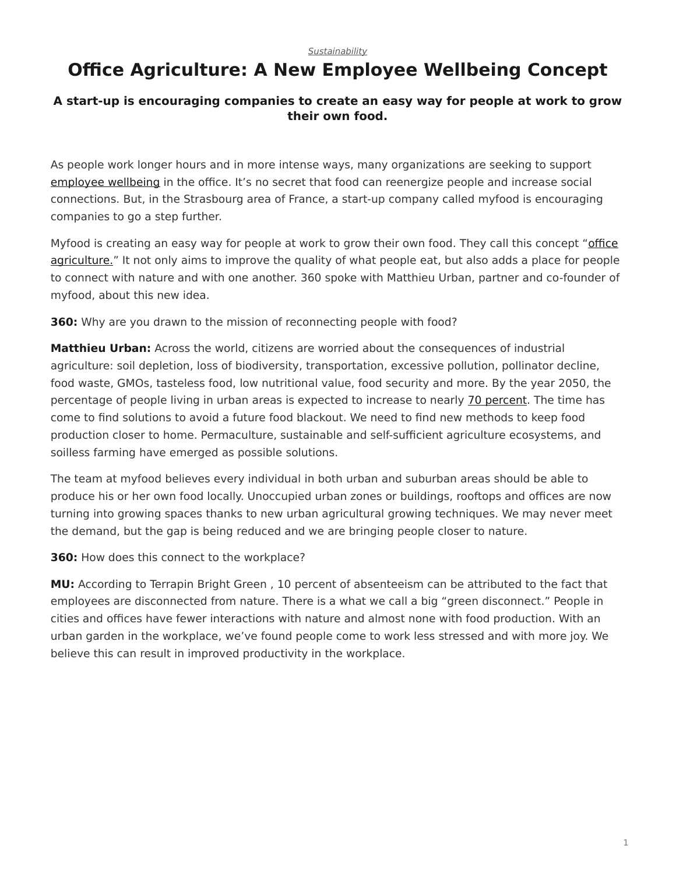## *[Sustainability](https://www.steelcase.com/research/topics/sustainability/)*

## <span id="page-0-0"></span>**Office Agriculture: A New Employee Wellbeing Concept**

## **A start-up is encouraging companies to create an easy way for people at work to grow their own food.**

As people work longer hours and in more intense ways, many organizations are seeking to support [employee wellbeing](https://www.steelcase.com/research/360-magazine/wellbeing-a-bottom-line-issue/) in the office. It's no secret that food can reenergize people and increase social connections. But, in the Strasbourg area of France, a start-up company called myfood is encouraging companies to go a step further.

Myfood is creating an easy way for people at work to grow their own food. They call this concept "[office](https://www.steelcase.com/spaces-inspiration/resilient-workplace/workcafe/) [agriculture."](https://www.steelcase.com/spaces-inspiration/resilient-workplace/workcafe/) It not only aims to improve the quality of what people eat, but also adds a place for people to connect with nature and with one another. 360 spoke with Matthieu Urban, partner and co-founder of myfood, about this new idea.

**360:** Why are you drawn to the mission of reconnecting people with food?

**Matthieu Urban:** Across the world, citizens are worried about the consequences of industrial agriculture: soil depletion, loss of biodiversity, transportation, excessive pollution, pollinator decline, food waste, GMOs, tasteless food, low nutritional value, food security and more. By the year 2050, the percentage of people living in urban areas is expected to increase to nearly [70 percent](https://www.un.org/development/desa/en/news/population/2018-revision-of-world-urbanization-prospects.html). The time has come to find solutions to avoid a future food blackout. We need to find new methods to keep food production closer to home. Permaculture, sustainable and self-sufficient agriculture ecosystems, and soilless farming have emerged as possible solutions.

The team at myfood believes every individual in both urban and suburban areas should be able to produce his or her own food locally. Unoccupied urban zones or buildings, rooftops and offices are now turning into growing spaces thanks to new urban agricultural growing techniques. We may never meet the demand, but the gap is being reduced and we are bringing people closer to nature.

**360:** How does this connect to the workplace?

**MU:** According to Terrapin Bright Green , 10 percent of absenteeism can be attributed to the fact that employees are disconnected from nature. There is a what we call a big "green disconnect." People in cities and offices have fewer interactions with nature and almost none with food production. With an urban garden in the workplace, we've found people come to work less stressed and with more joy. We believe this can result in improved productivity in the workplace.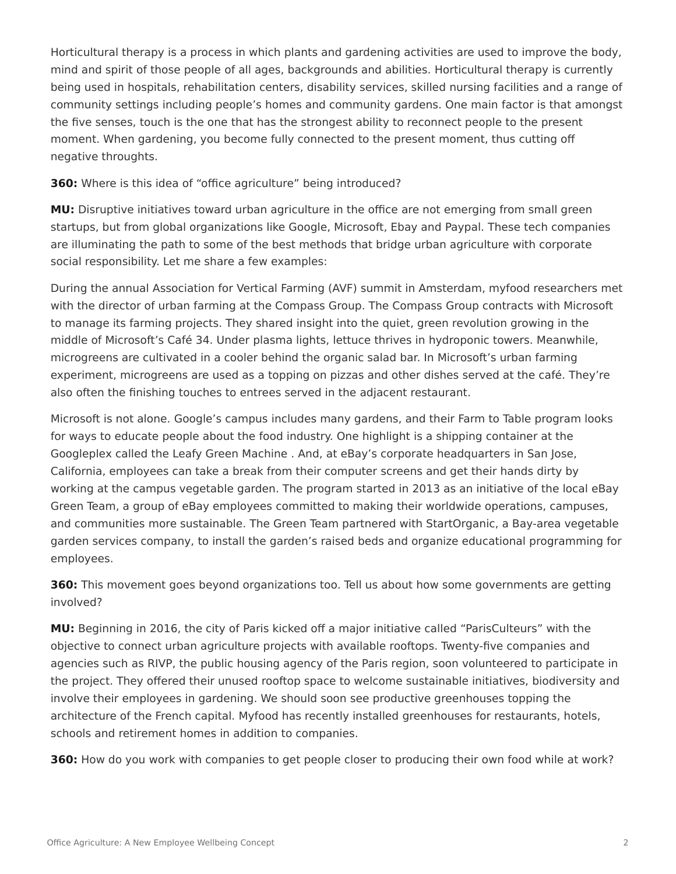Horticultural therapy is a process in which plants and gardening activities are used to improve the body, mind and spirit of those people of all ages, backgrounds and abilities. Horticultural therapy is currently being used in hospitals, rehabilitation centers, disability services, skilled nursing facilities and a range of community settings including people's homes and community gardens. One main factor is that amongst the five senses, touch is the one that has the strongest ability to reconnect people to the present moment. When gardening, you become fully connected to the present moment, thus cutting off negative throughts.

**360:** Where is this idea of "office agriculture" being introduced?

**MU:** Disruptive initiatives toward urban agriculture in the office are not emerging from small green startups, but from global organizations like Google, Microsoft, Ebay and Paypal. These tech companies are illuminating the path to some of the best methods that bridge urban agriculture with corporate social responsibility. Let me share a few examples:

During the annual Association for Vertical Farming (AVF) summit in Amsterdam, myfood researchers met with the director of urban farming at the Compass Group. The Compass Group contracts with Microsoft to manage its farming projects. They shared insight into the quiet, green revolution growing in the middle of Microsoft's Café 34. Under plasma lights, lettuce thrives in hydroponic towers. Meanwhile, microgreens are cultivated in a cooler behind the organic salad bar. In Microsoft's urban farming experiment, microgreens are used as a topping on pizzas and other dishes served at the café. They're also often the finishing touches to entrees served in the adjacent restaurant.

Microsoft is not alone. Google's campus includes many gardens, and their Farm to Table program looks for ways to educate people about the food industry. One highlight is a shipping container at the Googleplex called the Leafy Green Machine . And, at eBay's corporate headquarters in San Jose, California, employees can take a break from their computer screens and get their hands dirty by working at the campus vegetable garden. The program started in 2013 as an initiative of the local eBay Green Team, a group of eBay employees committed to making their worldwide operations, campuses, and communities more sustainable. The Green Team partnered with StartOrganic, a Bay-area vegetable garden services company, to install the garden's raised beds and organize educational programming for employees.

**360:** This movement goes beyond organizations too. Tell us about how some governments are getting involved?

**MU:** Beginning in 2016, the city of Paris kicked off a major initiative called "ParisCulteurs" with the objective to connect urban agriculture projects with available rooftops. Twenty-five companies and agencies such as RIVP, the public housing agency of the Paris region, soon volunteered to participate in the project. They offered their unused rooftop space to welcome sustainable initiatives, biodiversity and involve their employees in gardening. We should soon see productive greenhouses topping the architecture of the French capital. Myfood has recently installed greenhouses for restaurants, hotels, schools and retirement homes in addition to companies.

**360:** How do you work with companies to get people closer to producing their own food while at work?